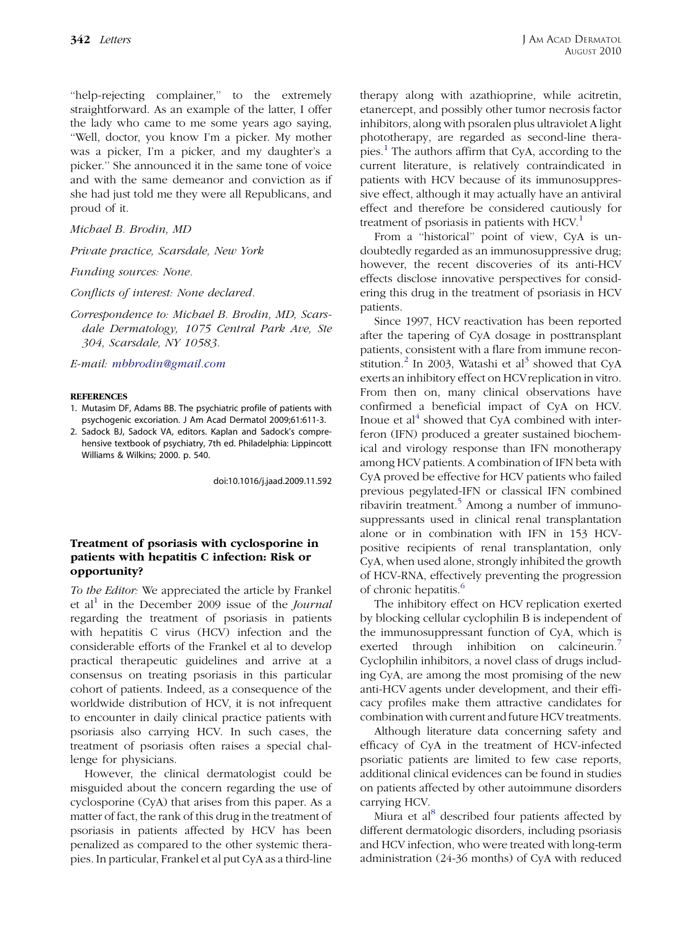''help-rejecting complainer,'' to the extremely straightforward. As an example of the latter, I offer the lady who came to me some years ago saying, ''Well, doctor, you know I'm a picker. My mother was a picker, I'm a picker, and my daughter's a picker.'' She announced it in the same tone of voice and with the same demeanor and conviction as if she had just told me they were all Republicans, and proud of it.

### Michael B. Brodin, MD

Private practice, Scarsdale, New York

Funding sources: None.

Conflicts of interest: None declared.

Correspondence to: Michael B. Brodin, MD, Scarsdale Dermatology, 1075 Central Park Ave, Ste 304, Scarsdale, NY 10583.

E-mail: [mbbrodin@gmail.com](mailto:mbbrodin@gmail.com)

### **REFERENCES**

- 1. Mutasim DF, Adams BB. The psychiatric profile of patients with psychogenic excoriation. J Am Acad Dermatol 2009;61:611-3.
- 2. Sadock BJ, Sadock VA, editors. Kaplan and Sadock's comprehensive textbook of psychiatry, 7th ed. Philadelphia: Lippincott Williams & Wilkins; 2000. p. 540.

doi:10.1016/j.jaad.2009.11.592

# Treatment of psoriasis with cyclosporine in patients with hepatitis C infection: Risk or opportunity?

To the Editor: We appreciated the article by Frankel et al<sup>[1](#page-1-0)</sup> in the December 2009 issue of the *Journal* regarding the treatment of psoriasis in patients with hepatitis C virus (HCV) infection and the considerable efforts of the Frankel et al to develop practical therapeutic guidelines and arrive at a consensus on treating psoriasis in this particular cohort of patients. Indeed, as a consequence of the worldwide distribution of HCV, it is not infrequent to encounter in daily clinical practice patients with psoriasis also carrying HCV. In such cases, the treatment of psoriasis often raises a special challenge for physicians.

However, the clinical dermatologist could be misguided about the concern regarding the use of cyclosporine (CyA) that arises from this paper. As a matter of fact, the rank of this drug in the treatment of psoriasis in patients affected by HCV has been penalized as compared to the other systemic therapies. In particular, Frankel et al put CyA as a third-line

therapy along with azathioprine, while acitretin, etanercept, and possibly other tumor necrosis factor inhibitors, along with psoralen plus ultraviolet A light phototherapy, are regarded as second-line therapies.[1](#page-1-0) The authors affirm that CyA, according to the current literature, is relatively contraindicated in patients with HCV because of its immunosuppressive effect, although it may actually have an antiviral effect and therefore be considered cautiously for treatment of psoriasis in patients with  $HCV<sup>1</sup>$  $HCV<sup>1</sup>$  $HCV<sup>1</sup>$ .

From a ''historical'' point of view, CyA is undoubtedly regarded as an immunosuppressive drug; however, the recent discoveries of its anti-HCV effects disclose innovative perspectives for considering this drug in the treatment of psoriasis in HCV patients.

Since 1997, HCV reactivation has been reported after the tapering of CyA dosage in posttransplant patients, consistent with a flare from immune recon-stitution.<sup>[2](#page-1-0)</sup> In 200[3](#page-1-0), Watashi et al<sup>3</sup> showed that CyA exerts an inhibitory effect on HCVreplication in vitro. From then on, many clinical observations have confirmed a beneficial impact of CyA on HCV. Inoue et  $al<sup>4</sup>$  $al<sup>4</sup>$  $al<sup>4</sup>$  showed that CyA combined with interferon (IFN) produced a greater sustained biochemical and virology response than IFN monotherapy among HCV patients. A combination of IFN beta with CyA proved be effective for HCV patients who failed previous pegylated-IFN or classical IFN combined ribavirin treatment.<sup>[5](#page-1-0)</sup> Among a number of immunosuppressants used in clinical renal transplantation alone or in combination with IFN in 153 HCVpositive recipients of renal transplantation, only CyA, when used alone, strongly inhibited the growth of HCV-RNA, effectively preventing the progression of chronic hepatitis.<sup>[6](#page-1-0)</sup>

The inhibitory effect on HCV replication exerted by blocking cellular cyclophilin B is independent of the immunosuppressant function of CyA, which is exerted through inhibition on calcineurin.<sup>[7](#page-1-0)</sup> Cyclophilin inhibitors, a novel class of drugs including CyA, are among the most promising of the new anti-HCV agents under development, and their efficacy profiles make them attractive candidates for combination with current and future HCV treatments.

Although literature data concerning safety and efficacy of CyA in the treatment of HCV-infected psoriatic patients are limited to few case reports, additional clinical evidences can be found in studies on patients affected by other autoimmune disorders carrying HCV.

Miura et al<sup>[8](#page-1-0)</sup> described four patients affected by different dermatologic disorders, including psoriasis and HCV infection, who were treated with long-term administration (24-36 months) of CyA with reduced